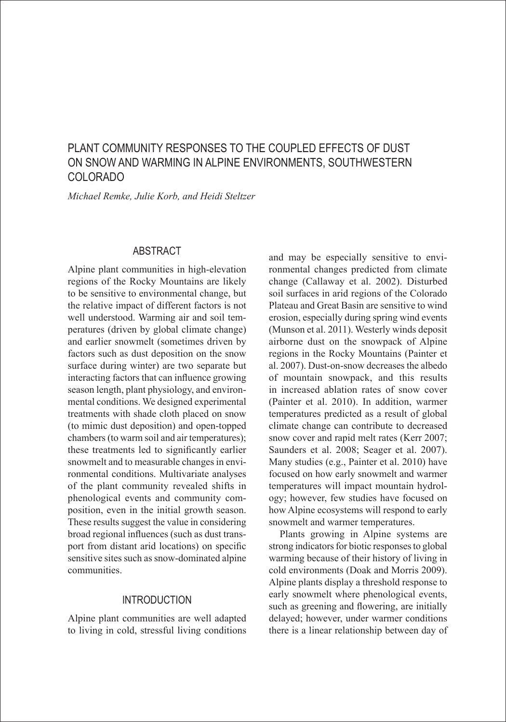# PLANT COMMUNITY RESPONSES TO THE COUPLED EFFECTS OF DUST ON SNOW AND WARMING IN ALPINE ENVIRONMENTS, SOUTHWESTERN COLORADO

*Michael Remke, Julie Korb, and Heidi Steltzer*

### ABSTRACT

Alpine plant communities in high-elevation regions of the Rocky Mountains are likely to be sensitive to environmental change, but the relative impact of different factors is not well understood. Warming air and soil temperatures (driven by global climate change) and earlier snowmelt (sometimes driven by factors such as dust deposition on the snow surface during winter) are two separate but interacting factors that can influence growing season length, plant physiology, and environmental conditions. We designed experimental treatments with shade cloth placed on snow (to mimic dust deposition) and open-topped chambers (to warm soil and air temperatures); these treatments led to significantly earlier snowmelt and to measurable changes in environmental conditions. Multivariate analyses of the plant community revealed shifts in phenological events and community composition, even in the initial growth season. These results suggest the value in considering broad regional influences (such as dust transport from distant arid locations) on specific sensitive sites such as snow-dominated alpine communities.

### **INTRODUCTION**

Alpine plant communities are well adapted to living in cold, stressful living conditions and may be especially sensitive to environmental changes predicted from climate change (Callaway et al. 2002). Disturbed soil surfaces in arid regions of the Colorado Plateau and Great Basin are sensitive to wind erosion, especially during spring wind events (Munson et al. 2011). Westerly winds deposit airborne dust on the snowpack of Alpine regions in the Rocky Mountains (Painter et al. 2007). Dust-on-snow decreases the albedo of mountain snowpack, and this results in increased ablation rates of snow cover (Painter et al. 2010). In addition, warmer temperatures predicted as a result of global climate change can contribute to decreased snow cover and rapid melt rates (Kerr 2007; Saunders et al. 2008; Seager et al. 2007). Many studies (e.g., Painter et al. 2010) have focused on how early snowmelt and warmer temperatures will impact mountain hydrology; however, few studies have focused on how Alpine ecosystems will respond to early snowmelt and warmer temperatures.

Plants growing in Alpine systems are strong indicators for biotic responses to global warming because of their history of living in cold environments (Doak and Morris 2009). Alpine plants display a threshold response to early snowmelt where phenological events, such as greening and flowering, are initially delayed; however, under warmer conditions there is a linear relationship between day of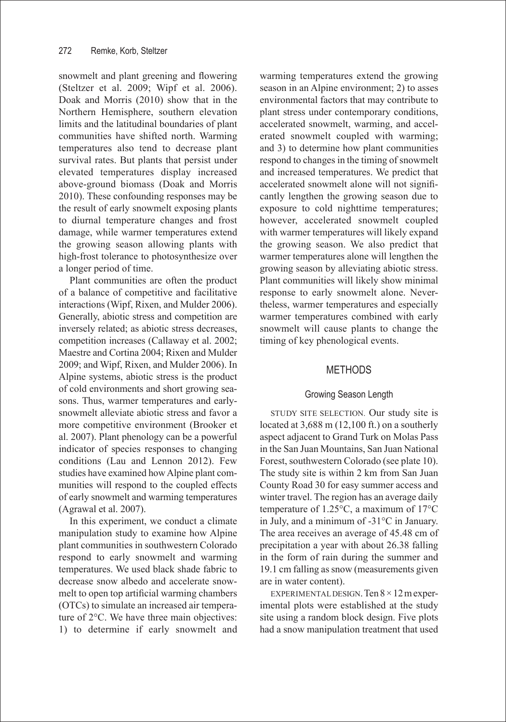snowmelt and plant greening and flowering (Steltzer et al. 2009; Wipf et al. 2006). Doak and Morris (2010) show that in the Northern Hemisphere, southern elevation limits and the latitudinal boundaries of plant communities have shifted north. Warming temperatures also tend to decrease plant survival rates. But plants that persist under elevated temperatures display increased above-ground biomass (Doak and Morris 2010). These confounding responses may be the result of early snowmelt exposing plants to diurnal temperature changes and frost damage, while warmer temperatures extend the growing season allowing plants with high-frost tolerance to photosynthesize over a longer period of time.

Plant communities are often the product of a balance of competitive and facilitative interactions (Wipf, Rixen, and Mulder 2006). Generally, abiotic stress and competition are inversely related; as abiotic stress decreases, competition increases (Callaway et al. 2002; Maestre and Cortina 2004; Rixen and Mulder 2009; and Wipf, Rixen, and Mulder 2006). In Alpine systems, abiotic stress is the product of cold environments and short growing seasons. Thus, warmer temperatures and earlysnowmelt alleviate abiotic stress and favor a more competitive environment (Brooker et al. 2007). Plant phenology can be a powerful indicator of species responses to changing conditions (Lau and Lennon 2012). Few studies have examined how Alpine plant communities will respond to the coupled effects of early snowmelt and warming temperatures (Agrawal et al. 2007).

In this experiment, we conduct a climate manipulation study to examine how Alpine plant communities in southwestern Colorado respond to early snowmelt and warming temperatures. We used black shade fabric to decrease snow albedo and accelerate snowmelt to open top artificial warming chambers (OTCs) to simulate an increased air temperature of 2°C. We have three main objectives: 1) to determine if early snowmelt and warming temperatures extend the growing season in an Alpine environment; 2) to asses environmental factors that may contribute to plant stress under contemporary conditions, accelerated snowmelt, warming, and accelerated snowmelt coupled with warming; and 3) to determine how plant communities respond to changes in the timing of snowmelt and increased temperatures. We predict that accelerated snowmelt alone will not significantly lengthen the growing season due to exposure to cold nighttime temperatures; however, accelerated snowmelt coupled with warmer temperatures will likely expand the growing season. We also predict that warmer temperatures alone will lengthen the growing season by alleviating abiotic stress. Plant communities will likely show minimal response to early snowmelt alone. Nevertheless, warmer temperatures and especially warmer temperatures combined with early snowmelt will cause plants to change the timing of key phenological events.

### METHODS

### Growing Season Length

STUDY SITE SELECTION. Our study site is located at 3,688 m (12,100 ft.) on a southerly aspect adjacent to Grand Turk on Molas Pass in the San Juan Mountains, San Juan National Forest, southwestern Colorado (see plate 10). The study site is within 2 km from San Juan County Road 30 for easy summer access and winter travel. The region has an average daily temperature of 1.25°C, a maximum of 17°C in July, and a minimum of -31°C in January. The area receives an average of 45.48 cm of precipitation a year with about 26.38 falling in the form of rain during the summer and 19.1 cm falling as snow (measurements given are in water content).

EXPERIMENTAL DESIGN. Ten  $8 \times 12$  m experimental plots were established at the study site using a random block design. Five plots had a snow manipulation treatment that used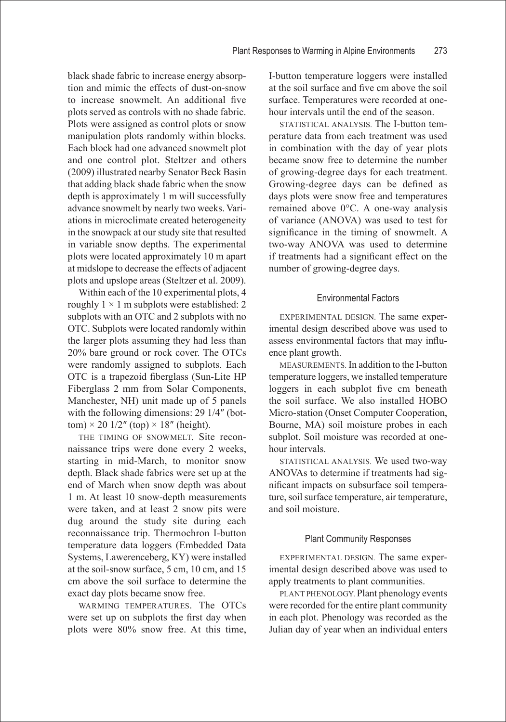black shade fabric to increase energy absorption and mimic the effects of dust-on-snow to increase snowmelt. An additional five plots served as controls with no shade fabric. Plots were assigned as control plots or snow manipulation plots randomly within blocks. Each block had one advanced snowmelt plot and one control plot. Steltzer and others (2009) illustrated nearby Senator Beck Basin that adding black shade fabric when the snow depth is approximately 1 m will successfully advance snowmelt by nearly two weeks. Variations in microclimate created heterogeneity in the snowpack at our study site that resulted in variable snow depths. The experimental plots were located approximately 10 m apart at midslope to decrease the effects of adjacent plots and upslope areas (Steltzer et al. 2009).

Within each of the 10 experimental plots, 4 roughly  $1 \times 1$  m subplots were established: 2 subplots with an OTC and 2 subplots with no OTC. Subplots were located randomly within the larger plots assuming they had less than 20% bare ground or rock cover. The OTCs were randomly assigned to subplots. Each OTC is a trapezoid fiberglass (Sun-Lite HP Fiberglass 2 mm from Solar Components, Manchester, NH) unit made up of 5 panels with the following dimensions: 29 1/4″ (bottom)  $\times$  20 1/2" (top)  $\times$  18" (height).

THE TIMING OF SNOWMELT. Site reconnaissance trips were done every 2 weeks, starting in mid-March, to monitor snow depth. Black shade fabrics were set up at the end of March when snow depth was about 1 m. At least 10 snow-depth measurements were taken, and at least 2 snow pits were dug around the study site during each reconnaissance trip. Thermochron I-button temperature data loggers (Embedded Data Systems, Lawerenceberg, KY) were installed at the soil-snow surface, 5 cm, 10 cm, and 15 cm above the soil surface to determine the exact day plots became snow free.

WARMING TEMPERATURES. The OTCs were set up on subplots the first day when plots were 80% snow free. At this time, I-button temperature loggers were installed at the soil surface and five cm above the soil surface. Temperatures were recorded at onehour intervals until the end of the season.

STATISTICAL ANALYSIS. The I-button temperature data from each treatment was used in combination with the day of year plots became snow free to determine the number of growing-degree days for each treatment. Growing-degree days can be defined as days plots were snow free and temperatures remained above 0°C. A one-way analysis of variance (ANOVA) was used to test for significance in the timing of snowmelt. A two-way ANOVA was used to determine if treatments had a significant effect on the number of growing-degree days.

#### Environmental Factors

EXPERIMENTAL DESIGN. The same experimental design described above was used to assess environmental factors that may influence plant growth.

MEASUREMENTS. In addition to the I-button temperature loggers, we installed temperature loggers in each subplot five cm beneath the soil surface. We also installed HOBO Micro-station (Onset Computer Cooperation, Bourne, MA) soil moisture probes in each subplot. Soil moisture was recorded at onehour intervals.

STATISTICAL ANALYSIS. We used two-way ANOVAs to determine if treatments had significant impacts on subsurface soil temperature, soil surface temperature, air temperature, and soil moisture.

#### Plant Community Responses

EXPERIMENTAL DESIGN. The same experimental design described above was used to apply treatments to plant communities.

PLANT PHENOLOGY. Plant phenology events were recorded for the entire plant community in each plot. Phenology was recorded as the Julian day of year when an individual enters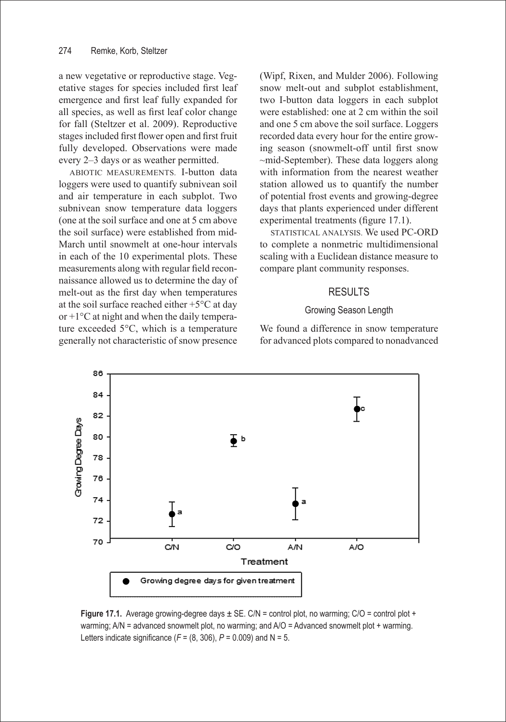a new vegetative or reproductive stage. Vegetative stages for species included first leaf emergence and first leaf fully expanded for all species, as well as first leaf color change for fall (Steltzer et al. 2009). Reproductive stages included first flower open and first fruit fully developed. Observations were made every 2–3 days or as weather permitted.

ABIOTIC MEASUREMENTS. I-button data loggers were used to quantify subnivean soil and air temperature in each subplot. Two subnivean snow temperature data loggers (one at the soil surface and one at 5 cm above the soil surface) were established from mid-March until snowmelt at one-hour intervals in each of the 10 experimental plots. These measurements along with regular field reconnaissance allowed us to determine the day of melt-out as the first day when temperatures at the soil surface reached either +5°C at day or +1°C at night and when the daily temperature exceeded 5°C, which is a temperature generally not characteristic of snow presence (Wipf, Rixen, and Mulder 2006). Following snow melt-out and subplot establishment, two I-button data loggers in each subplot were established: one at 2 cm within the soil and one 5 cm above the soil surface. Loggers recorded data every hour for the entire growing season (snowmelt-off until first snow ~mid-September). These data loggers along with information from the nearest weather station allowed us to quantify the number of potential frost events and growing-degree days that plants experienced under different experimental treatments (figure 17.1).

STATISTICAL ANALYSIS. We used PC-ORD to complete a nonmetric multidimensional scaling with a Euclidean distance measure to compare plant community responses.

# RESULTS

### Growing Season Length

We found a difference in snow temperature for advanced plots compared to nonadvanced



**Figure 17.1.** Average growing-degree days  $\pm$  SE. C/N = control plot, no warming; C/O = control plot + warming; A/N = advanced snowmelt plot, no warming; and A/O = Advanced snowmelt plot + warming. Letters indicate significance  $(F = (8, 306), P = 0.009)$  and  $N = 5$ .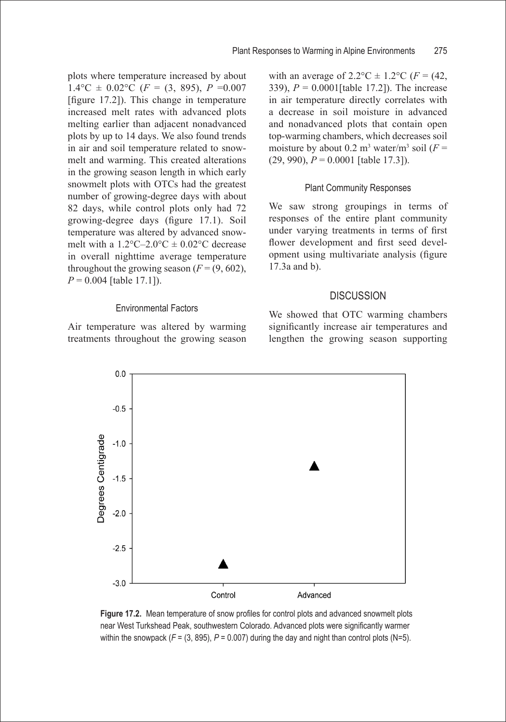plots where temperature increased by about  $1.4\degree C \pm 0.02\degree C$  (*F* = (3, 895), *P* = 0.007 [figure 17.2]). This change in temperature increased melt rates with advanced plots melting earlier than adjacent nonadvanced plots by up to 14 days. We also found trends in air and soil temperature related to snowmelt and warming. This created alterations in the growing season length in which early snowmelt plots with OTCs had the greatest number of growing-degree days with about 82 days, while control plots only had 72 growing-degree days (figure 17.1). Soil temperature was altered by advanced snowmelt with a  $1.2^{\circ}$ C-2.0°C  $\pm$  0.02°C decrease in overall nighttime average temperature throughout the growing season  $(F = (9, 602))$ , *P* = 0.004 [table 17.1]).

### Environmental Factors

Air temperature was altered by warming treatments throughout the growing season with an average of  $2.2^{\circ}\text{C} \pm 1.2^{\circ}\text{C}$  (*F* = (42, 339), *P* = 0.0001[table 17.2]). The increase in air temperature directly correlates with a decrease in soil moisture in advanced and nonadvanced plots that contain open top-warming chambers, which decreases soil moisture by about  $0.2 \text{ m}^3$  water/m<sup>3</sup> soil ( $F =$ (29, 990), *P* = 0.0001 [table 17.3]).

### Plant Community Responses

We saw strong groupings in terms of responses of the entire plant community under varying treatments in terms of first flower development and first seed development using multivariate analysis (figure 17.3a and b).

#### **DISCUSSION**

We showed that OTC warming chambers significantly increase air temperatures and lengthen the growing season supporting



**Figure 17.2.** Mean temperature of snow profiles for control plots and advanced snowmelt plots near West Turkshead Peak, southwestern Colorado. Advanced plots were significantly warmer within the snowpack  $(F = (3, 895), P = 0.007)$  during the day and night than control plots  $(N=5)$ .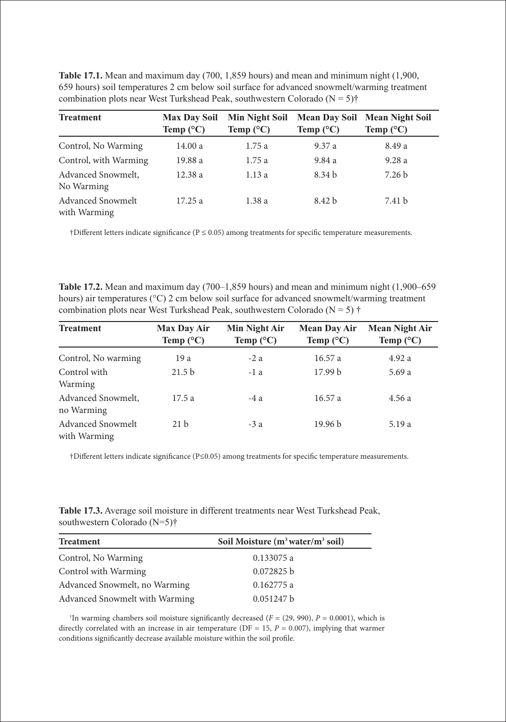| <b>Treatment</b>                         | <b>Max Day Soil</b><br>Temp $(^{\circ}C)$ | Min Night Soil<br>Temp $(^{\circ}C)$ | <b>Mean Day Soil</b><br>Temp $(^{\circ}C)$ | <b>Mean Night Soil</b><br>Temp $(^{\circ}C)$ |  |
|------------------------------------------|-------------------------------------------|--------------------------------------|--------------------------------------------|----------------------------------------------|--|
| Control, No Warming                      | 14.00 a                                   | 1.75a                                | 9.37a                                      | 8.49 a                                       |  |
| Control, with Warming                    | 19.88 a                                   | 1.75a                                | 9.84 a                                     | 9.28a                                        |  |
| Advanced Snowmelt,<br>No Warming         | 12.38 a                                   | 1.13a                                | 8.34 <sub>b</sub>                          | 7.26 <sub>b</sub>                            |  |
| <b>Advanced Snowmelt</b><br>with Warming | 17.25 a                                   | 1.38a                                | 8.42 <sub>b</sub>                          | 7.41 b                                       |  |

**Table 17.1.** Mean and maximum day (700, 1,859 hours) and mean and minimum night (1,900, 659 hours) soil temperatures 2 cm below soil surface for advanced snowmelt/warming treatment combination plots near West Turkshead Peak, southwestern Colorado ( $N = 5$ )<sup>†</sup>

†Different letters indicate significance (P ≤ 0.05) among treatments for specific temperature measurements.

**Table 17.2.** Mean and maximum day (700–1,859 hours) and mean and minimum night (1,900–659 hours) air temperatures (°C) 2 cm below soil surface for advanced snowmelt/warming treatment combination plots near West Turkshead Peak, southwestern Colorado ( $N = 5$ )  $\dagger$ 

| <b>Treatment</b>                         | <b>Max Day Air</b><br>Temp $(^{\circ}C)$ | Min Night Air<br>Temp $(^{\circ}C)$ | <b>Mean Day Air</b><br>Temp $(^{\circ}C)$ | <b>Mean Night Air</b><br>Temp $(^{\circ}C)$ |
|------------------------------------------|------------------------------------------|-------------------------------------|-------------------------------------------|---------------------------------------------|
| Control, No warming                      | 19 a                                     | $-2a$                               | 16.57a                                    | 4.92a                                       |
| Control with<br>Warming                  | 21.5 <sub>b</sub>                        | $-1a$                               | 17.99 <sub>b</sub>                        | 5.69 a                                      |
| Advanced Snowmelt,<br>no Warming         | 17.5a                                    | $-4a$                               | 16.57a                                    | 4.56 a                                      |
| <b>Advanced Snowmelt</b><br>with Warming | 21 <sub>b</sub>                          | $-3a$                               | 19.96 <sub>b</sub>                        | 5.19 a                                      |

†Different letters indicate significance (P≤0.05) among treatments for specific temperature measurements.

**Table 17.3.** Average soil moisture in different treatments near West Turkshead Peak, southwestern Colorado (N=5)†

| <b>Treatment</b>               | Soil Moisture $(m^3 water/m^3 sol)$ |
|--------------------------------|-------------------------------------|
| Control, No Warming            | 0.133075 a                          |
| Control with Warming           | 0.072825 b                          |
| Advanced Snowmelt, no Warming  | 0.162775a                           |
| Advanced Snowmelt with Warming | 0.051247 b                          |

<sup>†</sup>In warming chambers soil moisture significantly decreased ( $F = (29, 990)$ ,  $P = 0.0001$ ), which is directly correlated with an increase in air temperature ( $DF = 15$ ,  $P = 0.007$ ), implying that warmer conditions significantly decrease available moisture within the soil profile.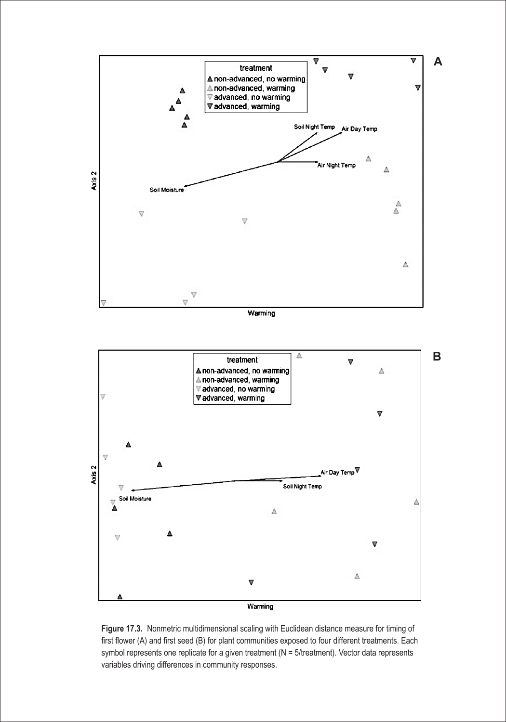

**Figure 17.3.** Nonmetric multidimensional scaling with Euclidean distance measure for timing of first flower (A) and first seed (B) for plant communities exposed to four different treatments. Each symbol represents one replicate for a given treatment (N = 5/treatment). Vector data represents variables driving differences in community responses.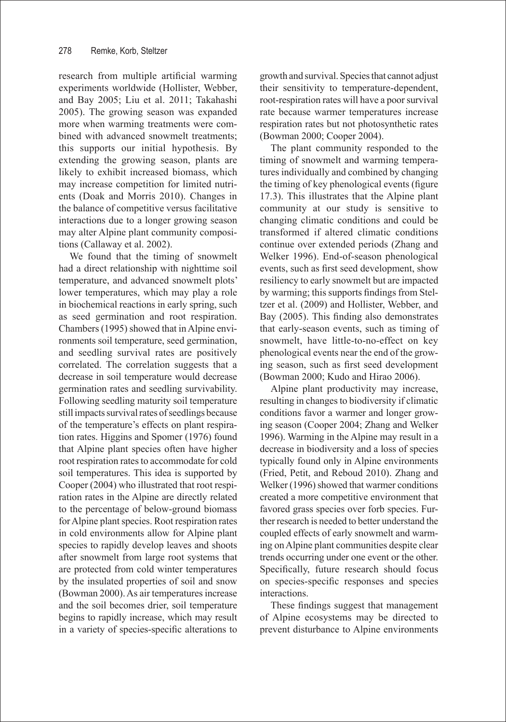research from multiple artificial warming experiments worldwide (Hollister, Webber, and Bay 2005; Liu et al. 2011; Takahashi 2005). The growing season was expanded more when warming treatments were combined with advanced snowmelt treatments; this supports our initial hypothesis. By extending the growing season, plants are likely to exhibit increased biomass, which may increase competition for limited nutrients (Doak and Morris 2010). Changes in the balance of competitive versus facilitative interactions due to a longer growing season may alter Alpine plant community compositions (Callaway et al. 2002).

We found that the timing of snowmelt had a direct relationship with nighttime soil temperature, and advanced snowmelt plots' lower temperatures, which may play a role in biochemical reactions in early spring, such as seed germination and root respiration. Chambers (1995) showed that in Alpine environments soil temperature, seed germination, and seedling survival rates are positively correlated. The correlation suggests that a decrease in soil temperature would decrease germination rates and seedling survivability. Following seedling maturity soil temperature still impacts survival rates of seedlings because of the temperature's effects on plant respiration rates. Higgins and Spomer (1976) found that Alpine plant species often have higher root respiration rates to accommodate for cold soil temperatures. This idea is supported by Cooper (2004) who illustrated that root respiration rates in the Alpine are directly related to the percentage of below-ground biomass for Alpine plant species. Root respiration rates in cold environments allow for Alpine plant species to rapidly develop leaves and shoots after snowmelt from large root systems that are protected from cold winter temperatures by the insulated properties of soil and snow (Bowman 2000). As air temperatures increase and the soil becomes drier, soil temperature begins to rapidly increase, which may result in a variety of species-specific alterations to growth and survival. Species that cannot adjust their sensitivity to temperature-dependent, root-respiration rates will have a poor survival rate because warmer temperatures increase respiration rates but not photosynthetic rates (Bowman 2000; Cooper 2004).

The plant community responded to the timing of snowmelt and warming temperatures individually and combined by changing the timing of key phenological events (figure 17.3). This illustrates that the Alpine plant community at our study is sensitive to changing climatic conditions and could be transformed if altered climatic conditions continue over extended periods (Zhang and Welker 1996). End-of-season phenological events, such as first seed development, show resiliency to early snowmelt but are impacted by warming; this supports findings from Steltzer et al. (2009) and Hollister, Webber, and Bay (2005). This finding also demonstrates that early-season events, such as timing of snowmelt, have little-to-no-effect on key phenological events near the end of the growing season, such as first seed development (Bowman 2000; Kudo and Hirao 2006).

Alpine plant productivity may increase, resulting in changes to biodiversity if climatic conditions favor a warmer and longer growing season (Cooper 2004; Zhang and Welker 1996). Warming in the Alpine may result in a decrease in biodiversity and a loss of species typically found only in Alpine environments (Fried, Petit, and Reboud 2010). Zhang and Welker (1996) showed that warmer conditions created a more competitive environment that favored grass species over forb species. Further research is needed to better understand the coupled effects of early snowmelt and warming on Alpine plant communities despite clear trends occurring under one event or the other. Specifically, future research should focus on species-specific responses and species interactions.

These findings suggest that management of Alpine ecosystems may be directed to prevent disturbance to Alpine environments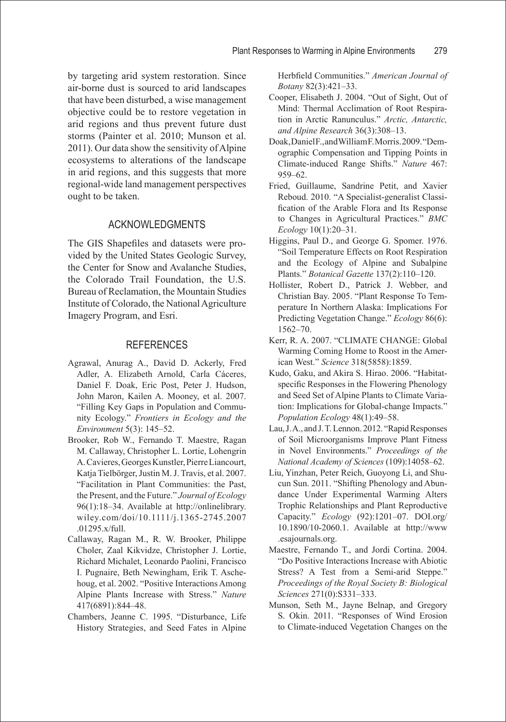by targeting arid system restoration. Since air-borne dust is sourced to arid landscapes that have been disturbed, a wise management objective could be to restore vegetation in arid regions and thus prevent future dust storms (Painter et al. 2010; Munson et al. 2011). Our data show the sensitivity of Alpine ecosystems to alterations of the landscape in arid regions, and this suggests that more regional-wide land management perspectives ought to be taken.

# ACKNOWLEDGMENTS

The GIS Shapefiles and datasets were provided by the United States Geologic Survey, the Center for Snow and Avalanche Studies, the Colorado Trail Foundation, the U.S. Bureau of Reclamation, the Mountain Studies Institute of Colorado, the National Agriculture Imagery Program, and Esri.

## **REFERENCES**

- Agrawal, Anurag A., David D. Ackerly, Fred Adler, A. Elizabeth Arnold, Carla Cáceres, Daniel F. Doak, Eric Post, Peter J. Hudson, John Maron, Kailen A. Mooney, et al. 2007. "Filling Key Gaps in Population and Community Ecology." *Frontiers in Ecology and the Environment* 5(3): 145–52.
- Brooker, Rob W., Fernando T. Maestre, Ragan M. Callaway, Christopher L. Lortie, Lohengrin A. Cavieres, Georges Kunstler, Pierre Liancourt, Katja Tielbörger, Justin M. J. Travis, et al. 2007. "Facilitation in Plant Communities: the Past, the Present, and the Future." *Journal of Ecology* 96(1):18–34. Available at http://onlinelibrary. wiley.com/doi/10.1111/j.1365-2745.2007 .01295.x/full.
- Callaway, Ragan M., R. W. Brooker, Philippe Choler, Zaal Kikvidze, Christopher J. Lortie, Richard Michalet, Leonardo Paolini, Francisco I. Pugnaire, Beth Newingham, Erik T. Aschehoug, et al. 2002. "Positive Interactions Among Alpine Plants Increase with Stress." *Nature* 417(6891):844–48.
- Chambers, Jeanne C. 1995. "Disturbance, Life History Strategies, and Seed Fates in Alpine

Herbfield Communities." *American Journal of Botany* 82(3):421–33.

- Cooper, Elisabeth J. 2004. "Out of Sight, Out of Mind: Thermal Acclimation of Root Respiration in Arctic Ranunculus." *Arctic, Antarctic, and Alpine Research* 36(3):308–13.
- Doak, Daniel F., and William F. Morris. 2009. "Demographic Compensation and Tipping Points in Climate-induced Range Shifts." *Nature* 467: 959–62.
- Fried, Guillaume, Sandrine Petit, and Xavier Reboud. 2010. "A Specialist-generalist Classification of the Arable Flora and Its Response to Changes in Agricultural Practices." *BMC Ecology* 10(1):20–31.
- Higgins, Paul D., and George G. Spomer. 1976. "Soil Temperature Effects on Root Respiration and the Ecology of Alpine and Subalpine Plants." *Botanical Gazette* 137(2):110–120.
- Hollister, Robert D., Patrick J. Webber, and Christian Bay. 2005. "Plant Response To Temperature In Northern Alaska: Implications For Predicting Vegetation Change." *Ecology* 86(6): 1562–70.
- Kerr, R. A. 2007. "CLIMATE CHANGE: Global Warming Coming Home to Roost in the American West." *Science* 318(5858):1859.
- Kudo, Gaku, and Akira S. Hirao. 2006. "Habitatspecific Responses in the Flowering Phenology and Seed Set of Alpine Plants to Climate Variation: Implications for Global-change Impacts." *Population Ecology* 48(1):49–58.
- Lau, J. A., and J. T. Lennon. 2012. "Rapid Responses of Soil Microorganisms Improve Plant Fitness in Novel Environments." *Proceedings of the National Academy of Sciences* (109):14058–62.
- Liu, Yinzhan, Peter Reich, Guoyong Li, and Shucun Sun. 2011. "Shifting Phenology and Abundance Under Experimental Warming Alters Trophic Relationships and Plant Reproductive Capacity." *Ecology* (92):1201–07. DOI.org/ 10.1890/10-2060.1. Available at http://www .esajournals.org.
- Maestre, Fernando T., and Jordi Cortina. 2004. "Do Positive Interactions Increase with Abiotic Stress? A Test from a Semi-arid Steppe." *Proceedings of the Royal Society B: Biological Sciences* 271(0):S331–333.
- Munson, Seth M., Jayne Belnap, and Gregory S. Okin. 2011. "Responses of Wind Erosion to Climate-induced Vegetation Changes on the